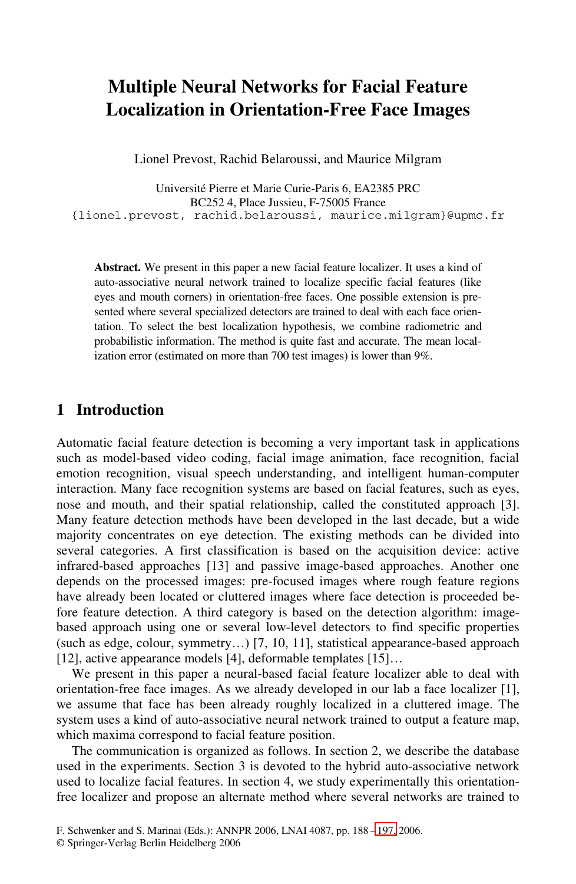# **Multiple Neural Networks for Facial Feature Localization in Orientation-Free Face Images**

Lionel Prevost, Rachid Belaroussi, and Maurice Milgram

Université Pierre et Marie Curie-Paris 6, EA2385 PRC BC252 4, Place Jussieu, F-75005 France {lionel.prevost, rachid.belaroussi, maurice.milgram}@upmc.fr

**Abstract.** We present in this paper a new facial feature localizer. It uses a kind of auto-associative neural network trained to localize specific facial features (like eyes and mouth corners) in orientation-free faces. One possible extension is presented where several specialized detectors are trained to deal with each face orientation. To select the best localization hypothesis, we combine radiometric and probabilistic information. The method is quite fast and accurate. The mean localization error (estimated on more than 700 test images) is lower than 9%.

#### **1 Introduction**

Automatic facial feature detection is becoming a very important task in applications such as model-based video coding, facial image animation, face recognition, facial emotion recognition, visual speech understanding, and intelligent human-computer interaction. Many face recognition systems are based on facial features, such as eyes, nose and mouth, and their spatial relationship, called the constituted approach [3]. Many feature detection methods have been developed in the last decade, but a wide majority concentrates on eye detection. The existing methods can be divided into several categories. A first classification is based on the acquisition device: active infrared-based approaches [13] and passive image-based approaches. Another one depends on the processed images: pre-focused images where rough feature regions have already been located or cluttered images where face detection is proceeded before feature detection. A third category is based on the detection algorithm: imagebased approach using one or several low-level detectors to find specific properties (such as edge, colour, symmetry…) [7, 10, 11], statistical appearance-based approach [12], active appearance models [4], deformable templates [15]...

We present in this paper a neural-based facial feature localizer able to deal with orientation-free face images. As we already developed in our lab a face localizer [1], we assume that face has been alread[y ro](#page-9-0)ughly localized in a cluttered image. The system uses a kind of auto-associative neural network trained to output a feature map, which maxima correspond to facial feature position.

The communication is organized as follows. In section 2, we describe the database used in the experiments. Section 3 is devoted to the hybrid auto-associative network used to localize facial features. In section 4, we study experimentally this orientationfree localizer and propose an alternate method where several networks are trained to

F. Schwenker and S. Marinai (Eds.): ANNPR 2006, LNAI 4087, pp. 188 – 197, 2006.

<sup>©</sup> Springer-Verlag Berlin Heidelberg 2006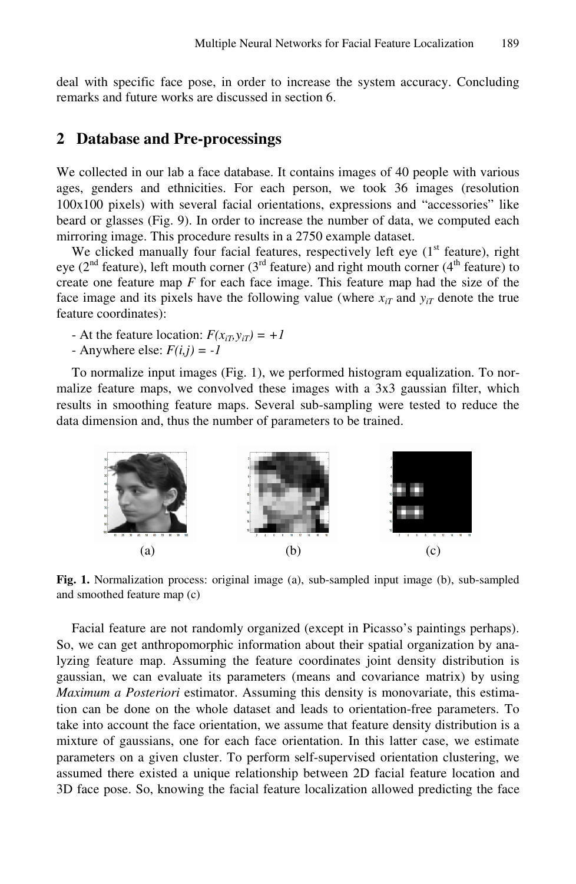deal with specific face pose, in order to increase the system accuracy. Concluding remarks and future works are discussed in section 6.

### **2 Database and Pre-processings**

We collected in our lab a face database. It contains images of 40 people with various ages, genders and ethnicities. For each person, we took 36 images (resolution 100x100 pixels) with several facial orientations, expressions and "accessories" like beard or glasses (Fig. 9). In order to increase the number of data, we computed each mirroring image. This procedure results in a 2750 example dataset.

We clicked manually four facial features, respectively left eye  $(1<sup>st</sup>$  feature), right eye ( $2<sup>nd</sup>$  feature), left mouth corner ( $3<sup>rd</sup>$  feature) and right mouth corner ( $4<sup>th</sup>$  feature) to create one feature map *F* for each face image. This feature map had the size of the face image and its pixels have the following value (where  $x_{iT}$  and  $y_{iT}$  denote the true feature coordinates):

- At the feature location:  $F(x_{iT}, y_{iT}) = +1$
- Anywhere else:  $F(i, j) = -1$

To normalize input images (Fig. 1), we performed histogram equalization. To normalize feature maps, we convolved these images with a 3x3 gaussian filter, which results in smoothing feature maps. Several sub-sampling were tested to reduce the data dimension and, thus the number of parameters to be trained.



**Fig. 1.** Normalization process: original image (a), sub-sampled input image (b), sub-sampled and smoothed feature map (c)

Facial feature are not randomly organized (except in Picasso's paintings perhaps). So, we can get anthropomorphic information about their spatial organization by analyzing feature map. Assuming the feature coordinates joint density distribution is gaussian, we can evaluate its parameters (means and covariance matrix) by using *Maximum a Posteriori* estimator. Assuming this density is monovariate, this estimation can be done on the whole dataset and leads to orientation-free parameters. To take into account the face orientation, we assume that feature density distribution is a mixture of gaussians, one for each face orientation. In this latter case, we estimate parameters on a given cluster. To perform self-supervised orientation clustering, we assumed there existed a unique relationship between 2D facial feature location and 3D face pose. So, knowing the facial feature localization allowed predicting the face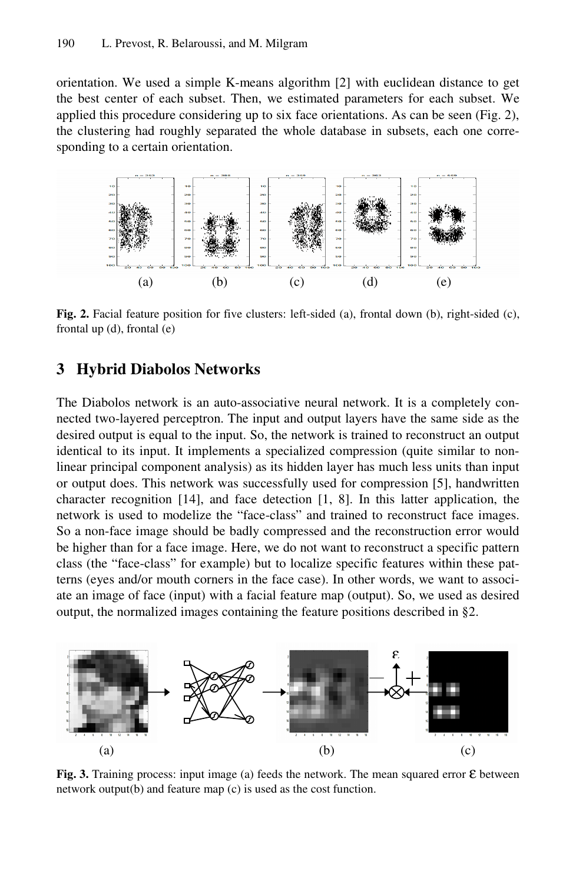orientation. We used a simple K-means algorithm [2] with euclidean distance to get the best center of each subset. Then, we estimated parameters for each subset. We applied this procedure considering up to six face orientations. As can be seen (Fig. 2), the clustering had roughly separated the whole database in subsets, each one corresponding to a certain orientation.



**Fig. 2.** Facial feature position for five clusters: left-sided (a), frontal down (b), right-sided (c), frontal up (d), frontal (e)

# **3 Hybrid Diabolos Networks**

The Diabolos network is an auto-associative neural network. It is a completely connected two-layered perceptron. The input and output layers have the same side as the desired output is equal to the input. So, the network is trained to reconstruct an output identical to its input. It implements a specialized compression (quite similar to nonlinear principal component analysis) as its hidden layer has much less units than input or output does. This network was successfully used for compression [5], handwritten character recognition [14], and face detection [1, 8]. In this latter application, the network is used to modelize the "face-class" and trained to reconstruct face images. So a non-face image should be badly compressed and the reconstruction error would be higher than for a face image. Here, we do not want to reconstruct a specific pattern class (the "face-class" for example) but to localize specific features within these patterns (eyes and/or mouth corners in the face case). In other words, we want to associate an image of face (input) with a facial feature map (output). So, we used as desired output, the normalized images containing the feature positions described in §2.



**Fig. 3.** Training process: input image (a) feeds the network. The mean squared error ε between network output(b) and feature map (c) is used as the cost function.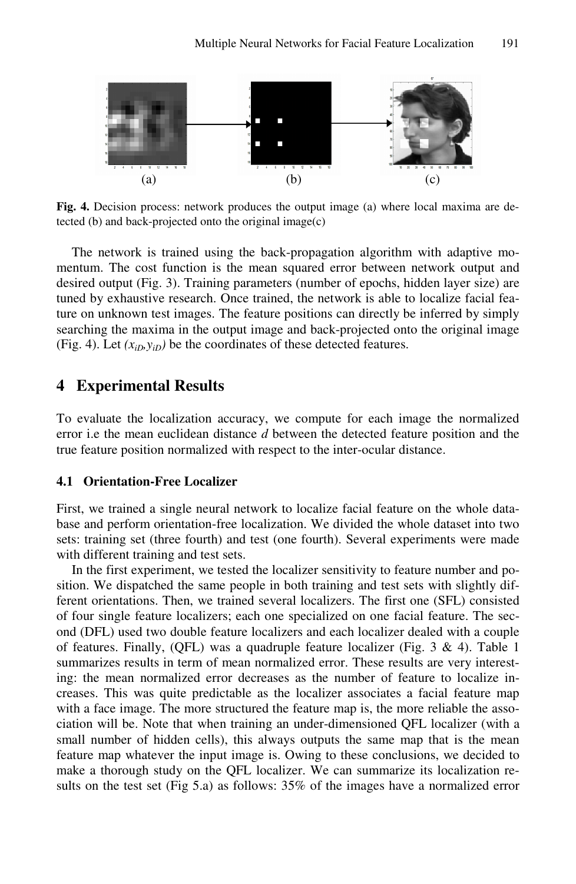

**Fig. 4.** Decision process: network produces the output image (a) where local maxima are detected (b) and back-projected onto the original image(c)

The network is trained using the back-propagation algorithm with adaptive momentum. The cost function is the mean squared error between network output and desired output (Fig. 3). Training parameters (number of epochs, hidden layer size) are tuned by exhaustive research. Once trained, the network is able to localize facial feature on unknown test images. The feature positions can directly be inferred by simply searching the maxima in the output image and back-projected onto the original image (Fig. 4). Let  $(x_{iD}, y_{iD})$  be the coordinates of these detected features.

### **4 Experimental Results**

To evaluate the localization accuracy, we compute for each image the normalized error i.e the mean euclidean distance *d* between the detected feature position and the true feature position normalized with respect to the inter-ocular distance.

#### **4.1 Orientation-Free Localizer**

First, we trained a single neural network to localize facial feature on the whole database and perform orientation-free localization. We divided the whole dataset into two sets: training set (three fourth) and test (one fourth). Several experiments were made with different training and test sets.

In the first experiment, we tested the localizer sensitivity to feature number and position. We dispatched the same people in both training and test sets with slightly different orientations. Then, we trained several localizers. The first one (SFL) consisted of four single feature localizers; each one specialized on one facial feature. The second (DFL) used two double feature localizers and each localizer dealed with a couple of features. Finally, (QFL) was a quadruple feature localizer (Fig. 3  $\&$  4). Table 1 summarizes results in term of mean normalized error. These results are very interesting: the mean normalized error decreases as the number of feature to localize increases. This was quite predictable as the localizer associates a facial feature map with a face image. The more structured the feature map is, the more reliable the association will be. Note that when training an under-dimensioned QFL localizer (with a small number of hidden cells), this always outputs the same map that is the mean feature map whatever the input image is. Owing to these conclusions, we decided to make a thorough study on the QFL localizer. We can summarize its localization results on the test set (Fig 5.a) as follows: 35% of the images have a normalized error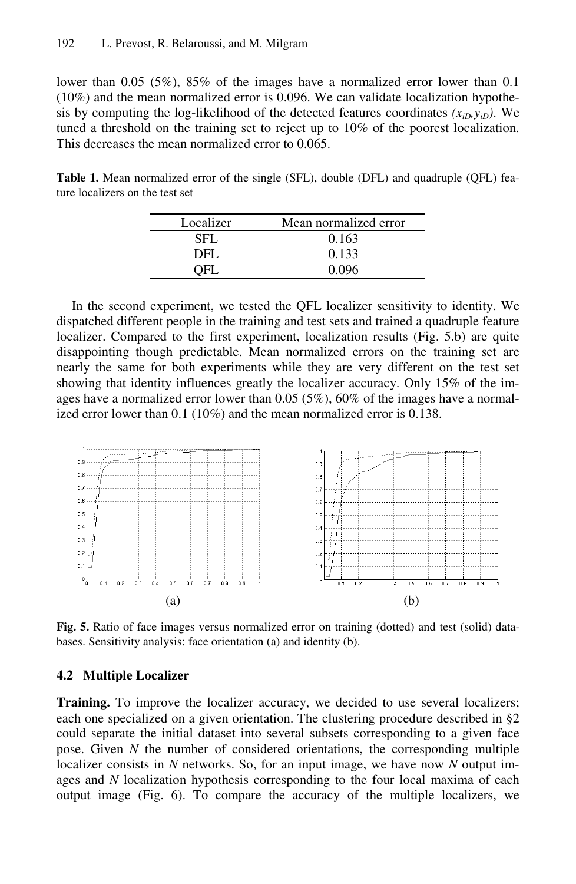lower than 0.05 (5%), 85% of the images have a normalized error lower than 0.1 (10%) and the mean normalized error is 0.096. We can validate localization hypothesis by computing the log-likelihood of the detected features coordinates  $(x_{iD}, y_{iD})$ . We tuned a threshold on the training set to reject up to 10% of the poorest localization. This decreases the mean normalized error to 0.065.

**Table 1.** Mean normalized error of the single (SFL), double (DFL) and quadruple (QFL) feature localizers on the test set

| Localizer | Mean normalized error |  |
|-----------|-----------------------|--|
| SFL.      | 0.163                 |  |
| DFL       | 0.133                 |  |
|           | 0.096                 |  |

In the second experiment, we tested the QFL localizer sensitivity to identity. We dispatched different people in the training and test sets and trained a quadruple feature localizer. Compared to the first experiment, localization results (Fig. 5.b) are quite disappointing though predictable. Mean normalized errors on the training set are nearly the same for both experiments while they are very different on the test set showing that identity influences greatly the localizer accuracy. Only 15% of the images have a normalized error lower than 0.05 (5%), 60% of the images have a normalized error lower than 0.1 (10%) and the mean normalized error is 0.138.



**Fig. 5.** Ratio of face images versus normalized error on training (dotted) and test (solid) databases. Sensitivity analysis: face orientation (a) and identity (b).

#### **4.2 Multiple Localizer**

**Training.** To improve the localizer accuracy, we decided to use several localizers; each one specialized on a given orientation. The clustering procedure described in §2 could separate the initial dataset into several subsets corresponding to a given face pose. Given *N* the number of considered orientations, the corresponding multiple localizer consists in *N* networks. So, for an input image, we have now *N* output images and *N* localization hypothesis corresponding to the four local maxima of each output image (Fig. 6). To compare the accuracy of the multiple localizers, we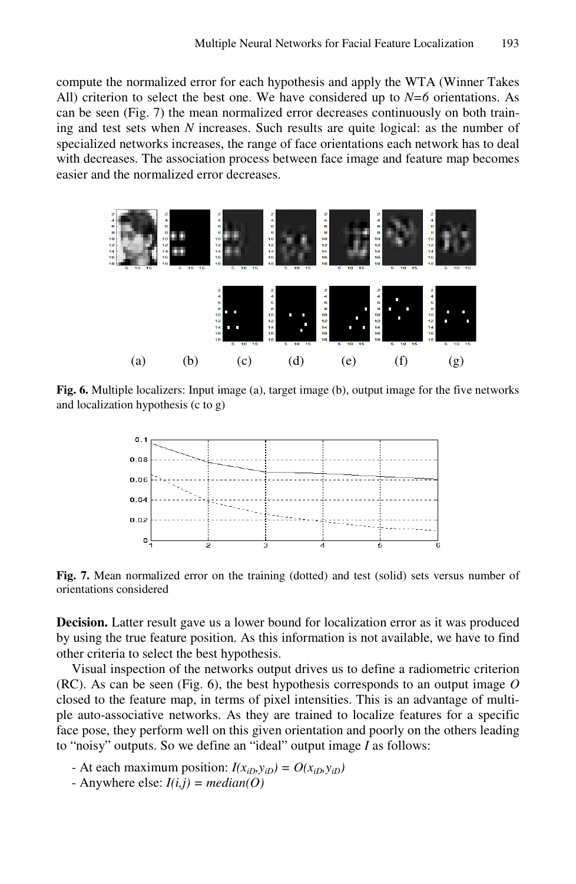compute the normalized error for each hypothesis and apply the WTA (Winner Takes All) criterion to select the best one. We have considered up to *N=6* orientations. As can be seen (Fig. 7) the mean normalized error decreases continuously on both training and test sets when *N* increases. Such results are quite logical: as the number of specialized networks increases, the range of face orientations each network has to deal with decreases. The association process between face image and feature map becomes easier and the normalized error decreases.



**Fig. 6.** Multiple localizers: Input image (a), target image (b), output image for the five networks and localization hypothesis (c to g)



**Fig. 7.** Mean normalized error on the training (dotted) and test (solid) sets versus number of orientations considered

**Decision.** Latter result gave us a lower bound for localization error as it was produced by using the true feature position. As this information is not available, we have to find other criteria to select the best hypothesis.

Visual inspection of the networks output drives us to define a radiometric criterion (RC). As can be seen (Fig. 6), the best hypothesis corresponds to an output image *O* closed to the feature map, in terms of pixel intensities. This is an advantage of multiple auto-associative networks. As they are trained to localize features for a specific face pose, they perform well on this given orientation and poorly on the others leading to "noisy" outputs. So we define an "ideal" output image *I* as follows:

- At each maximum position:  $I(x_{iD}, y_{iD}) = O(x_{iD}, y_{iD})$
- Anywhere else:  $I(i,j)$  = median(O)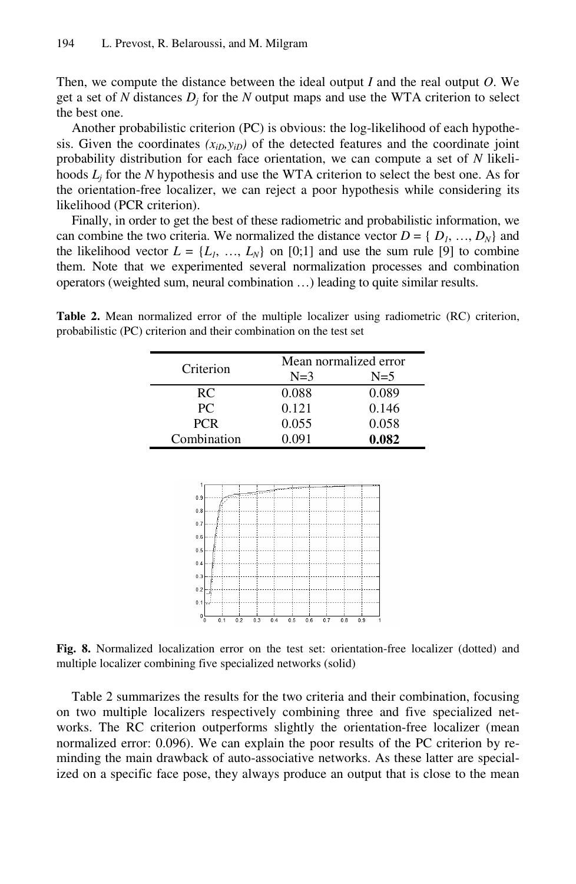Then, we compute the distance between the ideal output *I* and the real output *O*. We get a set of N distances  $D_j$  for the N output maps and use the WTA criterion to select the best one.

Another probabilistic criterion (PC) is obvious: the log-likelihood of each hypothesis. Given the coordinates  $(x_{iD}, y_{iD})$  of the detected features and the coordinate joint probability distribution for each face orientation, we can compute a set of *N* likelihoods *Lj* for the *N* hypothesis and use the WTA criterion to select the best one. As for the orientation-free localizer, we can reject a poor hypothesis while considering its likelihood (PCR criterion).

Finally, in order to get the best of these radiometric and probabilistic information, we can combine the two criteria. We normalized the distance vector  $D = \{D_1, ..., D_N\}$  and the likelihood vector  $L = \{L_1, ..., L_N\}$  on [0;1] and use the sum rule [9] to combine them. Note that we experimented several normalization processes and combination operators (weighted sum, neural combination …) leading to quite similar results.

**Table 2.** Mean normalized error of the multiple localizer using radiometric (RC) criterion, probabilistic (PC) criterion and their combination on the test set

| Criterion   | Mean normalized error |       |
|-------------|-----------------------|-------|
|             | $N=3$                 | $N=5$ |
| RC.         | 0.088                 | 0.089 |
| PC.         | 0.121                 | 0.146 |
| <b>PCR</b>  | 0.055                 | 0.058 |
| Combination | 0.091                 | 0.082 |



**Fig. 8.** Normalized localization error on the test set: orientation-free localizer (dotted) and multiple localizer combining five specialized networks (solid)

Table 2 summarizes the results for the two criteria and their combination, focusing on two multiple localizers respectively combining three and five specialized networks. The RC criterion outperforms slightly the orientation-free localizer (mean normalized error: 0.096). We can explain the poor results of the PC criterion by reminding the main drawback of auto-associative networks. As these latter are specialized on a specific face pose, they always produce an output that is close to the mean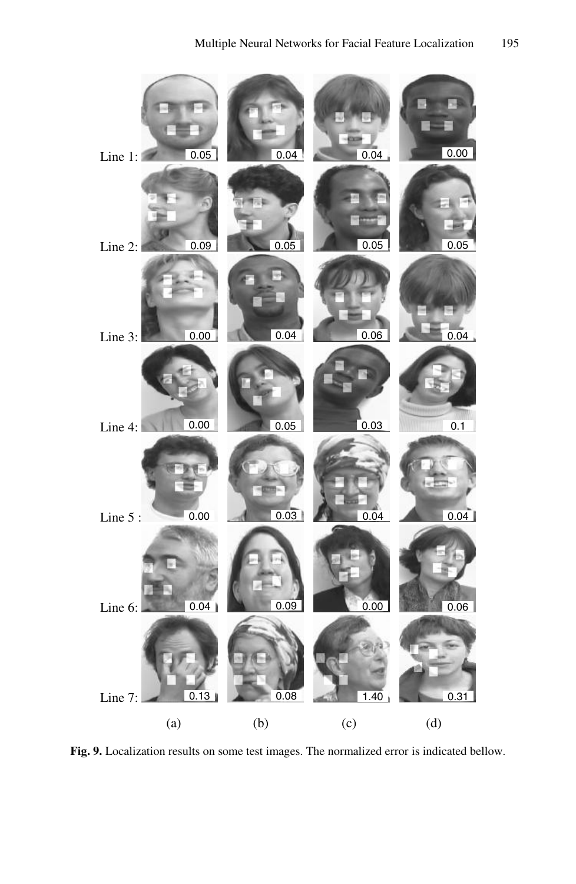

**Fig. 9.** Localization results on some test images. The normalized error is indicated bellow.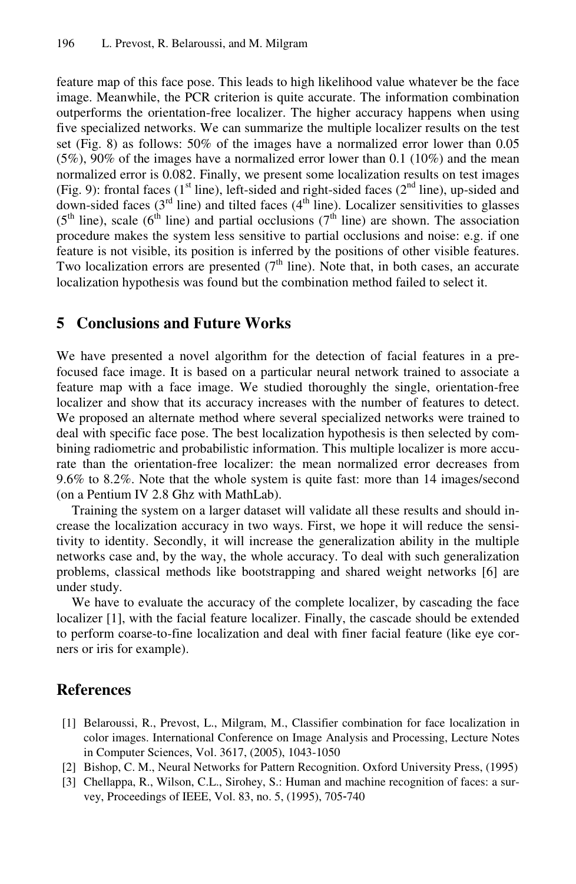feature map of this face pose. This leads to high likelihood value whatever be the face image. Meanwhile, the PCR criterion is quite accurate. The information combination outperforms the orientation-free localizer. The higher accuracy happens when using five specialized networks. We can summarize the multiple localizer results on the test set (Fig. 8) as follows: 50% of the images have a normalized error lower than 0.05 (5%), 90% of the images have a normalized error lower than 0.1 (10%) and the mean normalized error is 0.082. Finally, we present some localization results on test images (Fig. 9): frontal faces ( $1<sup>st</sup>$  line), left-sided and right-sided faces ( $2<sup>nd</sup>$  line), up-sided and down-sided faces ( $3<sup>rd</sup>$  line) and tilted faces ( $4<sup>th</sup>$  line). Localizer sensitivities to glasses  $(5<sup>th</sup>$  line), scale  $(6<sup>th</sup>$  line) and partial occlusions  $(7<sup>th</sup>$  line) are shown. The association procedure makes the system less sensitive to partial occlusions and noise: e.g. if one feature is not visible, its position is inferred by the positions of other visible features. Two localization errors are presented  $(7<sup>th</sup>$  line). Note that, in both cases, an accurate localization hypothesis was found but the combination method failed to select it.

## **5 Conclusions and Future Works**

We have presented a novel algorithm for the detection of facial features in a prefocused face image. It is based on a particular neural network trained to associate a feature map with a face image. We studied thoroughly the single, orientation-free localizer and show that its accuracy increases with the number of features to detect. We proposed an alternate method where several specialized networks were trained to deal with specific face pose. The best localization hypothesis is then selected by combining radiometric and probabilistic information. This multiple localizer is more accurate than the orientation-free localizer: the mean normalized error decreases from 9.6% to 8.2%. Note that the whole system is quite fast: more than 14 images/second (on a Pentium IV 2.8 Ghz with MathLab).

Training the system on a larger dataset will validate all these results and should increase the localization accuracy in two ways. First, we hope it will reduce the sensitivity to identity. Secondly, it will increase the generalization ability in the multiple networks case and, by the way, the whole accuracy. To deal with such generalization problems, classical methods like bootstrapping and shared weight networks [6] are under study.

We have to evaluate the accuracy of the complete localizer, by cascading the face localizer [1], with the facial feature localizer. Finally, the cascade should be extended to perform coarse-to-fine localization and deal with finer facial feature (like eye corners or iris for example).

## **References**

- [1] Belaroussi, R., Prevost, L., Milgram, M., Classifier combination for face localization in color images. International Conference on Image Analysis and Processing, Lecture Notes in Computer Sciences, Vol. 3617, (2005), 1043-1050
- [2] Bishop, C. M., Neural Networks for Pattern Recognition. Oxford University Press, (1995)
- [3] Chellappa, R., Wilson, C.L., Sirohey, S.: Human and machine recognition of faces: a survey, Proceedings of IEEE, Vol. 83, no. 5, (1995), 705-740